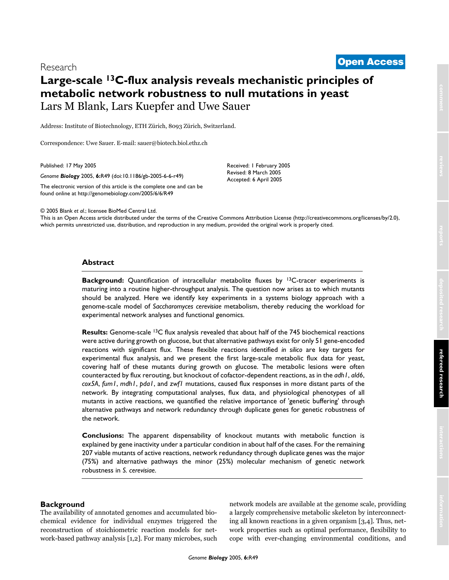# <sup>2005</sup> Blank et al. Volume 6, Issue 6, Article R49 **[Open Access](http://www.biomedcentral.com/info/about/charter/)** Research

# **Large-scale 13C-flux analysis reveals mechanistic principles of metabolic network robustness to null mutations in yeast** Lars M Blank, Lars Kuepfer and Uwe Sauer

Address: Institute of Biotechnology, ETH Zürich, 8093 Zürich, Switzerland.

Correspondence: Uwe Sauer. E-mail: sauer@biotech.biol.ethz.ch

Published: 17 May 2005

*Genome Biology* 2005, **6:**R49 (doi:10.1186/gb-2005-6-6-r49)

[The electronic version of this article is the complete one and can be](http://genomebiology.com/2005/6/6/R49)  found online at http://genomebiology.com/2005/6/6/R49

© 2005 Blank *et al*.; licensee BioMed Central Ltd.

[This is an Open Access article distributed under the terms of the Creative Commons Attribution License \(http://creativecommons.org/licenses/by/2.0\),](http://creativecommons.org/licenses/by/2.0)  which permits unrestricted use, distribution, and reproduction in any medium, provided the original work is properly cited.

Received: 1 February 2005 Revised: 8 March 2005 Accepted: 6 April 2005

## **Abstract**

**Background:** Quantification of intracellular metabolite fluxes by <sup>13</sup>C-tracer experiments is maturing into a routine higher-throughput analysis. The question now arises as to which mutants should be analyzed. Here we identify key experiments in a systems biology approach with a genome-scale model of *Saccharomyces cerevisiae* metabolism, thereby reducing the workload for experimental network analyses and functional genomics.

**Results:** Genome-scale 13C flux analysis revealed that about half of the 745 biochemical reactions were active during growth on glucose, but that alternative pathways exist for only 51 gene-encoded reactions with significant flux. These flexible reactions identified *in silico* are key targets for experimental flux analysis, and we present the first large-scale metabolic flux data for yeast, covering half of these mutants during growth on glucose. The metabolic lesions were often counteracted by flux rerouting, but knockout of cofactor-dependent reactions, as in the *adh1*, *ald6*, *cox5A*, *fum1*, *mdh1*, *pda1*, and *zwf1* mutations, caused flux responses in more distant parts of the network. By integrating computational analyses, flux data, and physiological phenotypes of all mutants in active reactions, we quantified the relative importance of 'genetic buffering' through alternative pathways and network redundancy through duplicate genes for genetic robustness of the network.

**Conclusions:** The apparent dispensability of knockout mutants with metabolic function is explained by gene inactivity under a particular condition in about half of the cases. For the remaining 207 viable mutants of active reactions, network redundancy through duplicate genes was the major (75%) and alternative pathways the minor (25%) molecular mechanism of genetic network robustness in *S. cerevisiae*.

## **Background**

The availability of annotated genomes and accumulated biochemical evidence for individual enzymes triggered the reconstruction of stoichiometric reaction models for network-based pathway analysis [1,2]. For many microbes, such network models are available at the genome scale, providing a largely comprehensive metabolic skeleton by interconnecting all known reactions in a given organism [3,4]. Thus, network properties such as optimal performance, flexibility to cope with ever-changing environmental conditions, and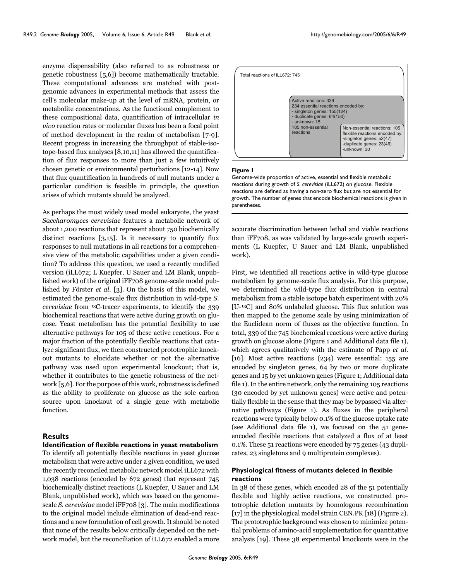enzyme dispensability (also referred to as robustness or genetic robustness [5,6]) become mathematically tractable. These computational advances are matched with postgenomic advances in experimental methods that assess the cell's molecular make-up at the level of mRNA, protein, or metabolite concentrations. As the functional complement to these compositional data, quantification of intracellular *in vivo* reaction rates or molecular fluxes has been a focal point of method development in the realm of metabolism [7-9]. Recent progress in increasing the throughput of stable-isotope-based flux analyses [8,10,11] has allowed the quantification of flux responses to more than just a few intuitively chosen genetic or environmental perturbations [12-14]. Now that flux quantification in hundreds of null mutants under a particular condition is feasible in principle, the question arises of which mutants should be analyzed.

As perhaps the most widely used model eukaryote, the yeast *Saccharomyces cerevisiae* features a metabolic network of about 1,200 reactions that represent about 750 biochemically distinct reactions [3,15]. Is it necessary to quantify flux responses to null mutations in all reactions for a comprehensive view of the metabolic capabilities under a given condition? To address this question, we used a recently modified version (iLL672; L Kuepfer, U Sauer and LM Blank, unpublished work) of the original iFF708 genome-scale model published by Förster *et al.* [3]. On the basis of this model, we estimated the genome-scale flux distribution in wild-type *S. cerevisiae* from 13C-tracer experiments, to identify the 339 biochemical reactions that were active during growth on glucose. Yeast metabolism has the potential flexibility to use alternative pathways for 105 of these active reactions. For a major fraction of the potentially flexible reactions that catalyze significant flux, we then constructed prototrophic knockout mutants to elucidate whether or not the alternative pathway was used upon experimental knockout; that is, whether it contributes to the genetic robustness of the network [5,6]. For the purpose of this work, robustness is defined as the ability to proliferate on glucose as the sole carbon source upon knockout of a single gene with metabolic function.

# **Results**

**Identification of flexible reactions in yeast metabolism** To identify all potentially flexible reactions in yeast glucose metabolism that were active under a given condition, we used the recently reconciled metabolic network model iLL672 with 1,038 reactions (encoded by 672 genes) that represent 745 biochemically distinct reactions (L Kuepfer, U Sauer and LM Blank, unpublished work), which was based on the genomescale *S. cerevisiae* model iFF708 [3]. The main modifications to the original model include elimination of dead-end reactions and a new formulation of cell growth. It should be noted that none of the results below critically depended on the network model, but the reconciliation of iLL672 enabled a more



#### Figure 1

Genome-wide proportion of active, essential and flexible metabolic reactions during growth of *S. cerevisiae* (iLL672) on glucose. Flexible reactions are defined as having a non-zero flux but are not essential for growth. The number of genes that encode biochemical reactions is given in parentheses.

accurate discrimination between lethal and viable reactions than iFF708, as was validated by large-scale growth experiments (L Kuepfer, U Sauer and LM Blank, unpublished work).

First, we identified all reactions active in wild-type glucose metabolism by genome-scale flux analysis. For this purpose, we determined the wild-type flux distribution in central metabolism from a stable isotope batch experiment with 20% [U-13C] and 80% unlabeled glucose. This flux solution was then mapped to the genome scale by using minimization of the Euclidean norm of fluxes as the objective function. In total, 339 of the 745 biochemical reactions were active during growth on glucose alone (Figure 1 and Additional data file 1), which agrees qualitatively with the estimate of Papp *et al.* [16]. Most active reactions (234) were essential: 155 are encoded by singleton genes, 64 by two or more duplicate genes and 15 by yet unknown genes (Figure 1; Additional data file 1). In the entire network, only the remaining 105 reactions (30 encoded by yet unknown genes) were active and potentially flexible in the sense that they may be bypassed via alternative pathways (Figure 1). As fluxes in the peripheral reactions were typically below 0.1% of the glucose uptake rate (see Additional data file 1), we focused on the 51 geneencoded flexible reactions that catalyzed a flux of at least 0.1%. These 51 reactions were encoded by 75 genes (43 duplicates, 23 singletons and 9 multiprotein complexes).

## **Physiological fitness of mutants deleted in flexible reactions**

In 38 of these genes, which encoded 28 of the 51 potentially flexible and highly active reactions, we constructed prototrophic deletion mutants by homologous recombination [\[17\]](#page-14-0) in the physiological model strain CEN.PK [18] (Figure 2). The prototrophic background was chosen to minimize potential problems of amino-acid supplementation for quantitative analysis [19]. These 38 experimental knockouts were in the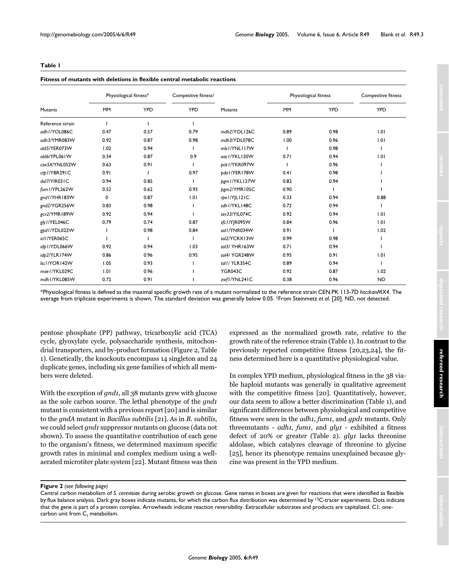## <span id="page-2-0"></span>**Table 1**

#### **Fitness of mutants with deletions in flexible central metabolic reactions**

|                  | Physiological fitness* |            | Competitive fitness <sup>†</sup> |                 | Physiological fitness |            | Competitive fitness |
|------------------|------------------------|------------|----------------------------------|-----------------|-----------------------|------------|---------------------|
| Mutants          | <b>MM</b>              | <b>YPD</b> | <b>YPD</b>                       | <b>Mutants</b>  | <b>MM</b>             | <b>YPD</b> | <b>YPD</b>          |
| Reference strain |                        |            |                                  |                 |                       |            |                     |
| adh1/YOL086C     | 0.47                   | 0.57       | 0.79                             | mdh2/YOL126C    | 0.89                  | 0.98       | 1.01                |
| adh3/YMR083W     | 0.92                   | 0.87       | 0.98                             | mdh3/YDL078C    | 1.00                  | 0.96       | 1.01                |
| ald5/YER073W     | 1.02                   | 0.94       |                                  | mls I/YNLI I 7W |                       | 0.98       |                     |
| ald6/YPL061W     | 0.34                   | 0.87       | 0.9                              | oac1/YKL120W    | 0.71                  | 0.94       | 1.01                |
| cox5A/YNL052W    | 0.63                   | 0.91       |                                  | bck I / YKR097W |                       | 0.96       |                     |
| ctb I/YBR291C    | 0.91                   |            | 0.97                             | pda I/YER I 78W | 0.41                  | 0.98       |                     |
| dal7/YIR031C     | 0.94                   | 0.85       |                                  | pgm1/YKL127W    | 0.82                  | 0.94       |                     |
| fum I/YPL262W    | 0.52                   | 0.62       | 0.93                             | bgm2/YMR105C    | 0.90                  |            |                     |
| gnd I/YHR183W    | 0                      | 0.87       | 1.01                             | rpel/YJLI2IC    | 0.33                  | 0.94       | 0.88                |
| gnd2/YGR256W     | 0.83                   | 0.98       |                                  | sdh1/YKL148C    | 0.72                  | 0.94       |                     |
| gcv2/YMR189W     | 0.92                   | 0.94       |                                  | ser33/YIL074C   | 0.92                  | 0.94       | 1.01                |
| gly I/YEL046C    | 0.79                   | 0.74       | 0.87                             | sfc1/YJR095W    | 0.84                  | 0.96       | 1.01                |
| gpd1/YDL022W     |                        | 0.98       | 0.84                             | soll/YNR034W    | 0.91                  |            | 1.02                |
| icl1/YER065C     |                        |            |                                  | sol2/YCRX13W    | 0.99                  | 0.98       |                     |
| idp I/YDL066W    | 0.92                   | 0.94       | 1.03                             | sol3/ YHR163W   | 0.71                  | 0.94       |                     |
| idb2/YLR174W     | 0.86                   | 0.96       | 0.95                             | sol4/YGR248W    | 0.95                  | 0.91       | 1.01                |
| Isc1/YOR142W     | 1.05                   | 0.93       |                                  | tall/YLR354C    | 0.89                  | 0.94       |                     |
| mae I/YKL029C    | 1.01                   | 0.96       |                                  | YGR043C         | 0.92                  | 0.87       | 1.02                |
| mdh I / YKL085W  | 0.72                   | 0.91       |                                  | zwfl/YNL241C    | 0.38                  | 0.96       | <b>ND</b>           |

\*Physiological fitness is defined as the maximal specific growth rate of a mutant normalized to the reference strain CEN.PK 113-7D *ho::kanMX4*. The average from triplicate experiments is shown. The standard deviation was generally below 0.05. †From Steinmetz *et al*. [20]. ND, not detected.

pentose phosphate (PP) pathway, tricarboxylic acid (TCA) cycle, glyoxylate cycle, polysaccharide synthesis, mitochondrial transporters, and by-product formation (Figure 2, Table [1](#page-2-0)). Genetically, the knockouts encompass 14 singleton and 24 duplicate genes, including six gene families of which all members were deleted.

With the exception of *gnd1*, all 38 mutants grew with glucose as the sole carbon source. The lethal phenotype of the *gnd1* mutant is consistent with a previous report [20] and is similar to the *gndA* mutant in *Bacillus subtilis* [21]. As in *B. subtilis*, we could select *gnd1* suppressor mutants on glucose (data not shown). To assess the quantitative contribution of each gene to the organism's fitness, we determined maximum specific growth rates in minimal and complex medium using a wellaerated microtiter plate system [22]. Mutant fitness was then

expressed as the normalized growth rate, relative to the growth rate of the reference strain (Table [1](#page-2-0)). In contrast to the previously reported competitive fitness [20,23,24], the fitness determined here is a quantitative physiological value.

In complex YPD medium, physiological fitness in the 38 viable haploid mutants was generally in qualitative agreement with the competitive fitness [20]. Quantitatively, however, our data seem to allow a better discrimination (Table [1\)](#page-2-0), and significant differences between physiological and competitive fitness were seen in the *adh1*, *fum1*, and *gpd1* mutants. Only threemutants - *adh1*, *fum1*, and *gly1* - exhibited a fitness defect of 20% or greater (Table [2\)](#page-4-0). *gly1* lacks threonine aldolase, which catalyzes cleavage of threonine to glycine [25], hence its phenotype remains unexplained because glycine was present in the YPD medium.

**Figure 2** (see following page)

Central carbon metabolism of *S. cerevisiae* during aerobic growth on glucose. Gene names in boxes are given for reactions that were identified as flexible by flux balance analysis. Dark gray boxes indicate mutants, for which the carbon flux distribution was determined by <sup>13</sup>C-tracer experiments. Dots indicate that the gene is part of a protein complex. Arrowheads indicate reaction reversibility. Extracellular substrates and products are capitalized. C1, onecarbon unit from  $C_1$  metabolism.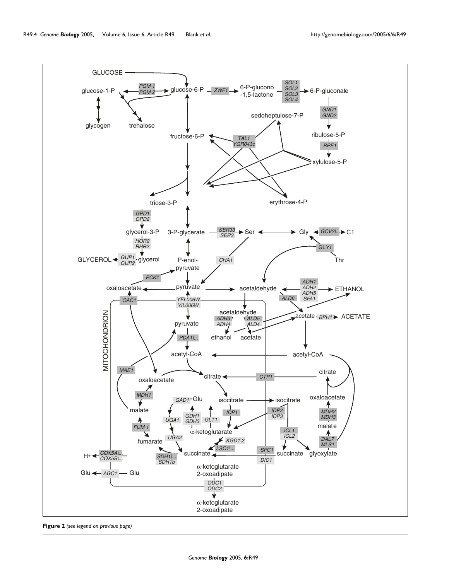

**Figure 2** *(see legend on previous page)*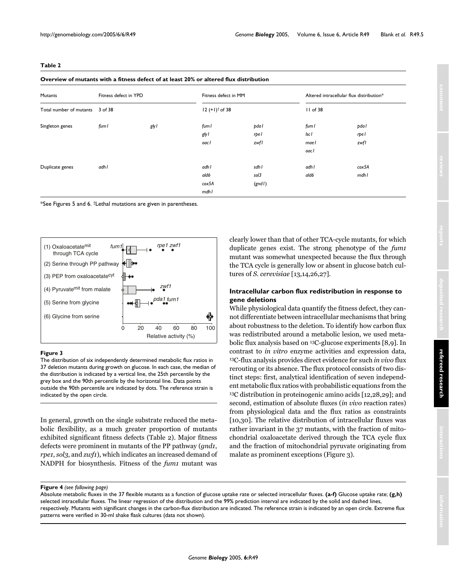<span id="page-4-0"></span>

| $\sim$<br>۰. |  |
|--------------|--|
|--------------|--|

| Overview of mutants with a fitness defect of at least 20% or altered flux distribution |  |  |  |  |
|----------------------------------------------------------------------------------------|--|--|--|--|
|----------------------------------------------------------------------------------------|--|--|--|--|

| <b>Mutants</b>          | Fitness defect in YPD |       | Fitness defect in MM          |                         | Altered intracellular flux distribution* |                       |
|-------------------------|-----------------------|-------|-------------------------------|-------------------------|------------------------------------------|-----------------------|
| Total number of mutants | 3 of 38               |       | $12 (+1)^{+}$ of 38           |                         | $II$ of 38                               |                       |
| Singleton genes         | fum l                 | gly l | fum l<br>gly l<br>oacl        | pda l<br>rpel<br>zwfl   | fum I<br>lsc l<br>mael<br>oacl           | pda l<br>rpel<br>zwfl |
| Duplicate genes         | adh l                 |       | adh l<br>ald6<br>cox5A<br>mdh | sdh l<br>sol3<br>(gndl) | adh l<br>ald6                            | cox5A<br>mdhl         |

\*See Figures 5 and 6. †Lethal mutations are given in parentheses.



#### The distribution of six independently determined metabolic flux ratios in 37 deletion mutants during growth on glucose **Figure 3**

The distribution of six independently determined metabolic flux ratios in 37 deletion mutants during growth on glucose. In each case, the median of the distribution is indicated by a vertical line, the 25th percentile by the grey box and the 90th percentile by the horizontal line. Data points outside the 90th percentile are indicated by dots. The reference strain is indicated by the open circle.

In general, growth on the single substrate reduced the metabolic flexibility, as a much greater proportion of mutants exhibited significant fitness defects (Table [2\)](#page-4-0). Major fitness defects were prominent in mutants of the PP pathway (*gnd1*, *rpe1*, *sol3*, and *zwf1*), which indicates an increased demand of NADPH for biosynthesis. Fitness of the *fum1* mutant was

clearly lower than that of other TCA-cycle mutants, for which duplicate genes exist. The strong phenotype of the *fum1* mutant was somewhat unexpected because the flux through the TCA cycle is generally low or absent in glucose batch cultures of *S. cerevisiae* [[13,](#page-13-0)14,26,27].

## **Intracellular carbon flux redistribution in response to gene deletions**

While physiological data quantify the fitness defect, they cannot differentiate between intracellular mechanisms that bring about robustness to the deletion. To identify how carbon flux was redistributed around a metabolic lesion, we used metabolic flux analysis based on 13C-glucose experiments [8,9]. In contrast to *in vitro* enzyme activities and expression data, 13C-flux analysis provides direct evidence for such *in vivo* flux rerouting or its absence. The flux protocol consists of two distinct steps: first, analytical identification of seven independent metabolic flux ratios with probabilistic equations from the 13C distribution in proteinogenic amino acids [12,[28](#page-14-1),29]; and second, estimation of absolute fluxes (*in vivo* reaction rates) from physiological data and the flux ratios as constraints [10,30]. The relative distribution of intracellular fluxes was rather invariant in the 37 mutants, with the fraction of mitochondrial oxaloacetate derived through the TCA cycle flux and the fraction of mitochondrial pyruvate originating from malate as prominent exceptions (Figure 3).

**Figure 4** (see following page)

Absolute metabolic fluxes in the 37 flexible mutants as a function of glucose uptake rate or selected intracellular fluxes. **(a-f)** Glucose uptake rate; **(g,h)**  selected intracellular fluxes. The linear regression of the distribution and the 99% prediction interval are indicated by the solid and dashed lines, respectively. Mutants with significant changes in the carbon-flux distribution are indicated. The reference strain is indicated by an open circle. Extreme flux patterns were verified in 30-ml shake flask cultures (data not shown).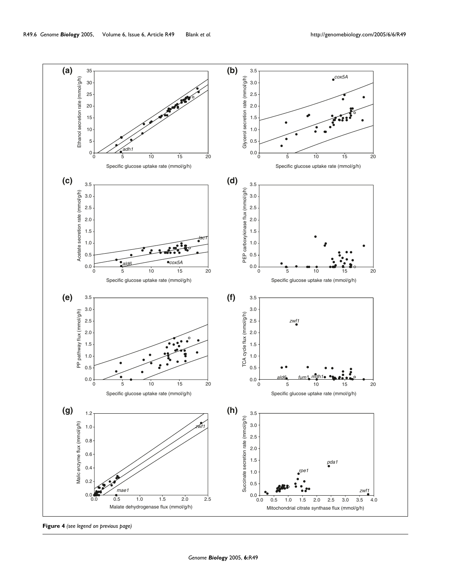

**Figure 4** *(see legend on previous page)*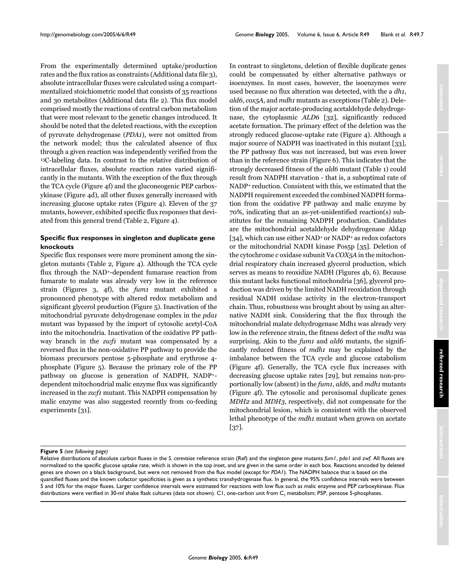From the experimentally determined uptake/production rates and the flux ratios as constraints (Additional data file 3), absolute intracellular fluxes were calculated using a compartmentalized stoichiometric model that consists of 35 reactions and 30 metabolites (Additional data file 2). This flux model comprised mostly the reactions of central carbon metabolism that were most relevant to the genetic changes introduced. It should be noted that the deleted reactions, with the exception of pyruvate dehydrogenase (*PDA1*), were not omitted from the network model; thus the calculated absence of flux through a given reaction was independently verified from the 13C-labeling data. In contrast to the relative distribution of intracellular fluxes, absolute reaction rates varied significantly in the mutants. With the exception of the flux through the TCA cycle (Figure 4f) and the gluconeogenic PEP carboxykinase (Figure 4d), all other fluxes generally increased with increasing glucose uptake rates (Figure 4). Eleven of the 37 mutants, however, exhibited specific flux responses that deviated from this general trend (Table [2,](#page-4-0) Figure 4).

# **Specific flux responses in singleton and duplicate gene knockouts**

Specific flux responses were more prominent among the singleton mutants (Table [2](#page-4-0), Figure 4). Although the TCA cycle flux through the NAD+-dependent fumarase reaction from fumarate to malate was already very low in the reference strain (Figures 3, 4f), the *fum1* mutant exhibited a pronounced phenotype with altered redox metabolism and significant glycerol production (Figure 5). Inactivation of the mitochondrial pyruvate dehydrogenase complex in the *pda1* mutant was bypassed by the import of cytosolic acetyl-CoA into the mitochondria. Inactivation of the oxidative PP pathway branch in the *zwf1* mutant was compensated by a reversed flux in the non-oxidative PP pathway to provide the biomass precursors pentose 5-phosphate and erythrose 4 phosphate (Figure 5). Because the primary role of the PP pathway on glucose is generation of NADPH, NADP+ dependent mitochondrial malic enzyme flux was significantly increased in the *zwf1* mutant. This NADPH compensation by malic enzyme was also suggested recently from co-feeding experiments [31].

In contrast to singletons, deletion of flexible duplicate genes could be compensated by either alternative pathways or isoenzymes. In most cases, however, the isoenzymes were used because no flux alteration was detected, with the a *dh1*, *ald6*, *cox5A*, and *mdh1* mutants as exceptions (Table [2](#page-4-0)). Deletion of the major acetate-producing acetaldehyde dehydrogenase, the cytoplasmic *ALD6* [32], significantly reduced acetate formation. The primary effect of the deletion was the strongly reduced glucose-uptake rate (Figure 4). Although a major source of NADPH was inactivated in this mutant [33], the PP pathway flux was not increased, but was even lower than in the reference strain (Figure 6). This indicates that the strongly decreased fitness of the *ald6* mutant (Table [1\)](#page-2-0) could result from NADPH starvation - that is, a suboptimal rate of NADP+ reduction. Consistent with this, we estimated that the NADPH requirement exceeded the combined NADPH formation from the oxidative PP pathway and malic enzyme by 70%, indicating that an as-yet-unidentified reaction(s) substitutes for the remaining NADPH production. Candidates are the mitochondrial acetaldehyde dehydrogenase Ald4p [34], which can use either NAD<sup>+</sup> or NADP<sup>+</sup> as redox cofactors or the mitochondrial NADH kinase Pos5p [35]. Deletion of the cytochrome *c* oxidase subunit Va *COX5A* in the mitochondrial respiratory chain increased glycerol production, which serves as means to reoxidize NADH (Figures 4b, 6). Because this mutant lacks functional mitochondria [36], glycerol production was driven by the limited NADH reoxidation through residual NADH oxidase activity in the electron-transport chain. Thus, robustness was brought about by using an alternative NADH sink. Considering that the flux through the mitochondrial malate dehydrogenase Mdh1 was already very low in the reference strain, the fitness defect of the *mdh1* was surprising. Akin to the *fum1* and *ald6* mutants, the significantly reduced fitness of *mdh1* may be explained by the imbalance between the TCA cycle and glucose catabolism (Figure 4f). Generally, the TCA cycle flux increases with decreasing glucose uptake rates [29], but remains non-proportionally low (absent) in the *fum1*, *ald6*, and *mdh1* mutants (Figure 4f). The cytosolic and peroxisomal duplicate genes *MDH2* and *MDH3*, respectively, did not compensate for the mitochondrial lesion, which is consistent with the observed lethal phenotype of the *mdh1* mutant when grown on acetate [37].

#### **Figure 5** (see following page)

Relative distributions of absolute carbon fluxes in the *S. cerevisiae* reference strain (Ref) and the singleton gene mutants *fum1*, *pda1* and *zwf*. All fluxes are normalized to the specific glucose uptake rate, which is shown in the top inset, and are given in the same order in each box. Reactions encoded by deleted genes are shown on a black background, but were not removed from the flux model (except for *PDA1*). The NADPH balance that is based on the quantified fluxes and the known cofactor specificities is given as a synthetic transhydrogenase flux. In general, the 95% confidence intervals were between 5 and 10% for the major fluxes. Larger confidence intervals were estimated for reactions with low flux such as malic enzyme and PEP carboxykinase. Flux distributions were verified in 30-ml shake flask cultures (data not shown). C1, one-carbon unit from  $C_1$  metabolism; P5P, pentose 5-phosphates.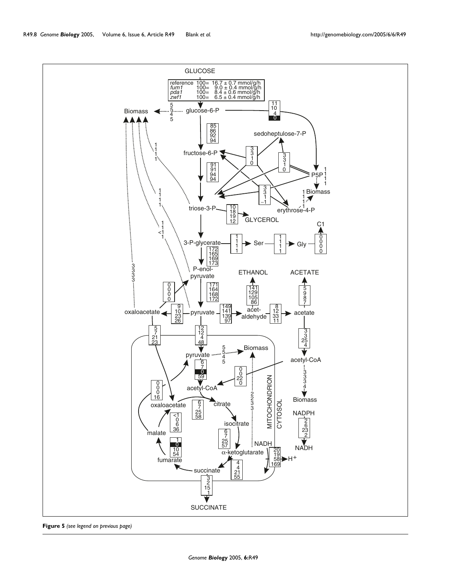

**Figure 5** *(see legend on previous page)*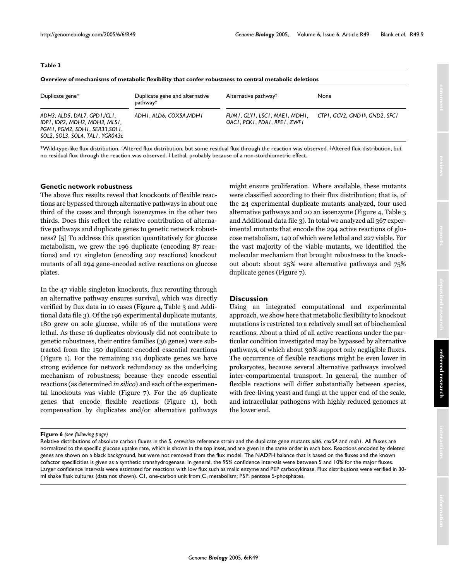## <span id="page-8-0"></span>**Table 3**

| Overview of mechanisms of metabolic flexibility that confer robustness to central metabolic deletions |  |
|-------------------------------------------------------------------------------------------------------|--|
|-------------------------------------------------------------------------------------------------------|--|

| Duplicate gene*                                                                                                                     | Duplicate gene and alternative<br>pathway† | Alternative pathway <sup>‡</sup>                              | None                                       |
|-------------------------------------------------------------------------------------------------------------------------------------|--------------------------------------------|---------------------------------------------------------------|--------------------------------------------|
| ADH3, ALD5, DAL7, GPD I, ICLI,<br>IDPI, IDP2, MDH2, MDH3, MLSI,<br>PGMI, PGM2, SDHI, SER33,SOLI,<br>SOL2, SOL3, SOL4, TAL1, YGR043c | ADHI, ALD6, COX5A,MDHI                     | FUMI, GLYI, LSCI, MAEI, MDHI.<br>OACI, PCKI, PDAI, RPEI, ZWFI | CTP1, GCV2, GND1 <sup>§</sup> , GND2, SFC1 |

\*Wild-type-like flux distribution. †Altered flux distribution, but some residual flux through the reaction was observed. ‡Altered flux distribution, but no residual flux through the reaction was observed. § Lethal, probably because of a non-stoichiometric effect.

## **Genetic network robustness**

The above flux results reveal that knockouts of flexible reactions are bypassed through alternative pathways in about one third of the cases and through isoenzymes in the other two thirds. Does this reflect the relative contribution of alternative pathways and duplicate genes to genetic network robustness? [5] To address this question quantitatively for glucose metabolism, we grew the 196 duplicate (encoding 87 reactions) and 171 singleton (encoding 207 reactions) knockout mutants of all 294 gene-encoded active reactions on glucose plates.

In the 47 viable singleton knockouts, flux rerouting through an alternative pathway ensures survival, which was directly verified by flux data in 10 cases (Figure 4, Table [3](#page-8-0) and Additional data file 3). Of the 196 experimental duplicate mutants, 180 grew on sole glucose, while 16 of the mutations were lethal. As these 16 duplicates obviously did not contribute to genetic robustness, their entire families (36 genes) were subtracted from the 150 duplicate-encoded essential reactions (Figure 1). For the remaining 114 duplicate genes we have strong evidence for network redundancy as the underlying mechanism of robustness, because they encode essential reactions (as determined *in silico*) and each of the experimental knockouts was viable (Figure 7). For the 46 duplicate genes that encode flexible reactions (Figure 1), both compensation by duplicates and/or alternative pathways

## **Discussion**

Using an integrated computational and experimental approach, we show here that metabolic flexibility to knockout mutations is restricted to a relatively small set of biochemical reactions. About a third of all active reactions under the particular condition investigated may be bypassed by alternative pathways, of which about 30% support only negligible fluxes. The occurrence of flexible reactions might be even lower in prokaryotes, because several alternative pathways involved inter-compartmental transport. In general, the number of flexible reactions will differ substantially between species, with free-living yeast and fungi at the upper end of the scale, and intracellular pathogens with highly reduced genomes at the lower end.

#### **Figure 6** (see following page)

Relative distributions of absolute carbon fluxes in the *S. cerevisiae* reference strain and the duplicate gene mutants *ald6*, *cox5A* and *mdh1*. All fluxes are normalized to the specific glucose uptake rate, which is shown in the top inset, and are given in the same order in each box. Reactions encoded by deleted genes are shown on a black background, but were not removed from the flux model. The NADPH balance that is based on the fluxes and the known cofactor specificities is given as a synthetic transhydrogenase. In general, the 95% confidence intervals were between 5 and 10% for the major fluxes. Larger confidence intervals were estimated for reactions with low flux such as malic enzyme and PEP carboxykinase. Flux distributions were verified in 30 ml shake flask cultures (data not shown). C1, one-carbon unit from  $C_1$  metabolism; P5P, pentose 5-phosphates.

might ensure proliferation. Where available, these mutants were classified according to their flux distribution; that is, of the 24 experimental duplicate mutants analyzed, four used alternative pathways and 20 an isoenzyme (Figure 4, Table [3](#page-8-0) and Additional data file 3). In total we analyzed all 367 experimental mutants that encode the 294 active reactions of glucose metabolism, 140 of which were lethal and 227 viable. For the vast majority of the viable mutants, we identified the molecular mechanism that brought robustness to the knockout about: about 25% were alternative pathways and 75% duplicate genes (Figure 7).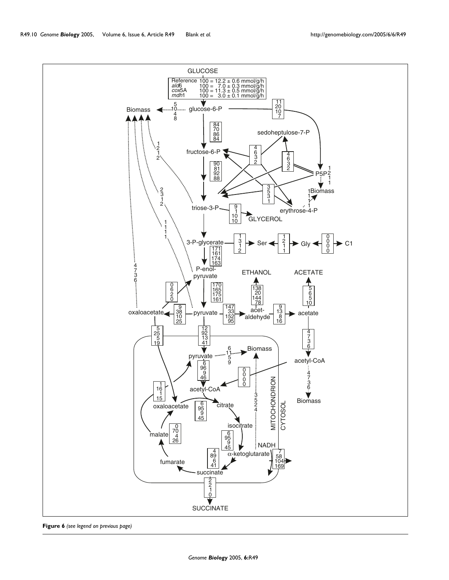**Figure 6** *(see legend on previous page)*

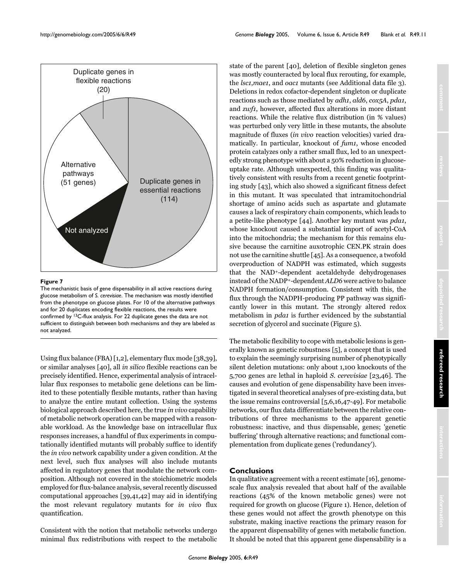

## Figure 7

The mechanistic basis of gene dispensability in all active reactions during glucose metabolism of *S. cerevisiae*. The mechanism was mostly identified from the phenotype on glucose plates. For 10 of the alternative pathways and for 20 duplicates encoding flexible reactions, the results were confirmed by 13C-flux analysis. For 22 duplicate genes the data are not sufficient to distinguish between both mechanisms and they are labeled as not analyzed.

Using flux balance (FBA) [1,2], elementary flux mode [38,39], or similar analyses [40], all *in silico* flexible reactions can be precisely identified. Hence, experimental analysis of intracellular flux responses to metabolic gene deletions can be limited to these potentially flexible mutants, rather than having to analyze the entire mutant collection. Using the systems biological approach described here, the true *in vivo* capability of metabolic network operation can be mapped with a reasonable workload. As the knowledge base on intracellular flux responses increases, a handful of flux experiments in computationally identified mutants will probably suffice to identify the *in vivo* network capability under a given condition. At the next level, such flux analyses will also include mutants affected in regulatory genes that modulate the network composition. Although not covered in the stoichiometric models employed for flux-balance analysis, several recently discussed computational approaches [39,41,42] may aid in identifying the most relevant regulatory mutants for *in vivo* flux quantification.

Consistent with the notion that metabolic networks undergo minimal flux redistributions with respect to the metabolic

state of the parent [40], deletion of flexible singleton genes was mostly counteracted by local flux rerouting, for example, the *lsc1*,*mae1*, and *oac1* mutants (see Additional data file 3). Deletions in redox cofactor-dependent singleton or duplicate reactions such as those mediated by *adh1*, *ald6*, *cox5A*, *pda1*, and *zwf1*, however, affected flux alterations in more distant reactions. While the relative flux distribution (in % values) was perturbed only very little in these mutants, the absolute magnitude of fluxes (*in vivo* reaction velocities) varied dramatically. In particular, knockout of *fum1*, whose encoded protein catalyzes only a rather small flux, led to an unexpectedly strong phenotype with about a 50% reduction in glucoseuptake rate. Although unexpected, this finding was qualitatively consistent with results from a recent genetic footprinting study [43], which also showed a significant fitness defect in this mutant. It was speculated that intramitochondrial shortage of amino acids such as aspartate and glutamate causes a lack of respiratory chain components, which leads to a petite-like phenotype [[44\]](#page-14-2). Another key mutant was *pda1*, whose knockout caused a substantial import of acetyl-CoA into the mitochondria; the mechanism for this remains elusive because the carnitine auxotrophic CEN.PK strain does not use the carnitine shuttle [45]. As a consequence, a twofold overproduction of NADPH was estimated, which suggests that the NAD+-dependent acetaldehyde dehydrogenases instead of the NADP+-dependent *ALD6* were active to balance NADPH formation/consumption. Consistent with this, the flux through the NADPH-producing PP pathway was significantly lower in this mutant. The strongly altered redox metabolism in *pda1* is further evidenced by the substantial secretion of glycerol and succinate (Figure 5).

The metabolic flexibility to cope with metabolic lesions is generally known as genetic robustness [5], a concept that is used to explain the seemingly surprising number of phenotypically silent deletion mutations: only about 1,100 knockouts of the 5,700 genes are lethal in haploid *S. cerevisiae* [23,46]. The causes and evolution of gene dispensability have been investigated in several theoretical analyses of pre-existing data, but the issue remains controversial [5,6,16,47-49]. For metabolic networks, our flux data differentiate between the relative contributions of three mechanisms to the apparent genetic robustness: inactive, and thus dispensable, genes; 'genetic buffering' through alternative reactions; and functional complementation from duplicate genes ('redundancy').

# **Conclusions**

In qualitative agreement with a recent estimate [16], genomescale flux analysis revealed that about half of the available reactions (45% of the known metabolic genes) were not required for growth on glucose (Figure 1). Hence, deletion of these genes would not affect the growth phenotype on this substrate, making inactive reactions the primary reason for the apparent dispensability of genes with metabolic function. It should be noted that this apparent gene dispensability is a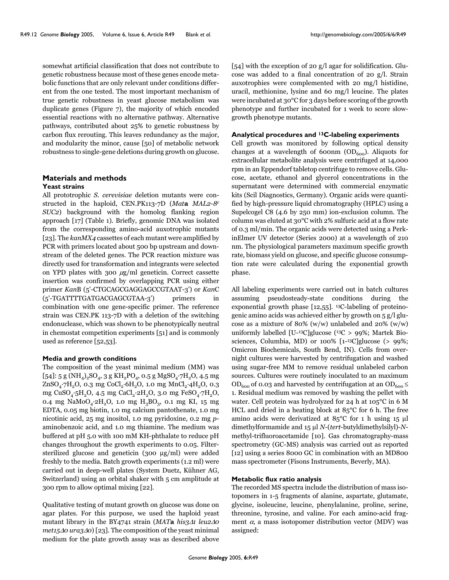somewhat artificial classification that does not contribute to genetic robustness because most of these genes encode metabolic functions that are only relevant under conditions different from the one tested. The most important mechanism of true genetic robustness in yeast glucose metabolism was duplicate genes (Figure 7), the majority of which encoded essential reactions with no alternative pathway. Alternative pathways, contributed about 25% to genetic robustness by carbon flux rerouting. This leaves redundancy as the major, and modularity the minor, cause [50] of metabolic network robustness to single-gene deletions during growth on glucose.

## **Materials and methods Yeast strains**

All prototrophic *S. cerevisiae* deletion mutants were constructed in the haploid, CEN.PK113-7D (*Mat***a** *MAL2-8c SUC2*) background with the homolog flanking region approach [[17](#page-14-0)] (Table [1\)](#page-2-0). Briefly, genomic DNA was isolated from the corresponding amino-acid auxotrophic mutants [23]. The *kanMX4* cassettes of each mutant were amplified by PCR with primers located about 500 bp upstream and downstream of the deleted genes. The PCR reaction mixture was directly used for transformation and integrants were selected on YPD plates with 300  $\mu$ g/ml geneticin. Correct cassette insertion was confirmed by overlapping PCR using either primer *Kan*B (5'-CTGCAGCGAGGAGCCGTAAT-3') or *Kan*C (5'-TGATTTTGATGACGAGCGTAA-3') primers in combination with one gene-specific primer. The reference strain was CEN.PK 113-7D with a deletion of the switching endonuclease, which was shown to be phenotypically neutral in chemostat competition experiments [51] and is commonly used as reference [52,53].

#### **Media and growth conditions**

The composition of the yeast minimal medium (MM) was [54]: 5 g (NH<sub>4</sub>)<sub>2</sub>SO<sub>4</sub>, 3 g KH<sub>2</sub>PO<sub>4</sub>, 0.5 g MgSO<sub>4</sub>·7H<sub>2</sub>O, 4.5 mg  $ZnSO_4$ ·7H<sub>2</sub>O, 0.3 mg CoCl<sub>2</sub>·6H<sub>2</sub>O, 1.0 mg MnCl<sub>2</sub>·4H<sub>2</sub>O, 0.3 mg CuSO<sub>4</sub>·5H<sub>2</sub>O, 4.5 mg CaCl<sub>2</sub>·2H<sub>2</sub>O, 3.0 mg FeSO<sub>4</sub>·7H<sub>2</sub>O, 0.4 mg NaMoO<sub>4</sub>·2H<sub>2</sub>O, 1.0 mg H<sub>3</sub>BO<sub>3</sub>, 0.1 mg KI, 15 mg EDTA, 0.05 mg biotin, 1.0 mg calcium pantothenate, 1.0 mg nicotinic acid, 25 mg inositol, 1.0 mg pyridoxine, 0.2 mg *p*aminobenzoic acid, and 1.0 mg thiamine. The medium was buffered at pH 5.0 with 100 mM KH-phthalate to reduce pH changes throughout the growth experiments to 0.05. Filtersterilized glucose and geneticin (300 µg/ml) were added freshly to the media. Batch growth experiments (1.2 ml) were carried out in deep-well plates (System Duetz, Kühner AG, Switzerland) using an orbital shaker with 5 cm amplitude at 300 rpm to allow optimal mixing [22].

Qualitative testing of mutant growth on glucose was done on agar plates. For this purpose, we used the haploid yeast mutant library in the BY4741 strain (*MAT***a** *his3*∆*1 leu2*∆*0 met15*∆*0 ura3*∆*0*) [23]. The composition of the yeast minimal medium for the plate growth assay was as described above

[54] with the exception of 20 g/l agar for solidification. Glucose was added to a final concentration of 20 g/l. Strain auxotrophies were complemented with 20 mg/l histidine, uracil, methionine, lysine and 60 mg/l leucine. The plates were incubated at 30°C for 3 days before scoring of the growth phenotype and further incubated for 1 week to score slowgrowth phenotype mutants.

#### **Analytical procedures and 13C-labeling experiments**

Cell growth was monitored by following optical density changes at a wavelength of 600nm ( $OD<sub>600</sub>$ ). Aliquots for extracellular metabolite analysis were centrifuged at 14,000 rpm in an Eppendorf tabletop centrifuge to remove cells. Glucose, acetate, ethanol and glycerol concentrations in the supernatant were determined with commercial enzymatic kits (Scil Diagnostics, Germany). Organic acids were quantified by high-pressure liquid chromatography (HPLC) using a Supelcogel C8 (4.6 by 250 mm) ion-exclusion column. The column was eluted at 30°C with 2% sulfuric acid at a flow rate of 0.3 ml/min. The organic acids were detected using a PerkinElmer UV detector (Series 2000) at a wavelength of 210 nm. The physiological parameters maximum specific growth rate, biomass yield on glucose, and specific glucose consumption rate were calculated during the exponential growth phase.

All labeling experiments were carried out in batch cultures assuming pseudosteady-state conditions during the exponential growth phase [12,55]. 13C-labeling of proteinogenic amino acids was achieved either by growth on 5 g/l glucose as a mixture of 80% (w/w) unlabeled and  $20\%$  (w/w) uniformly labelled [U-13C]glucose ( $13C > 99\%$ ; Martek Biosciences, Columbia, MD) or 100% [1-13C]glucose (> 99%; Omicron Biochemicals, South Bend, IN). Cells from overnight cultures were harvested by centrifugation and washed using sugar-free MM to remove residual unlabeled carbon sources. Cultures were routinely inoculated to an maximum OD<sub>600</sub> of 0.03 and harvested by centrifugation at an OD<sub>600</sub>  $\leq$ 1. Residual medium was removed by washing the pellet with water. Cell protein was hydrolyzed for 24 h at 105°C in 6 M HCL and dried in a heating block at 85°C for 6 h. The free amino acids were derivatized at 85°C for 1 h using 15 µl dimethylformamide and 15 µl *N*-(*tert*-butyldimethylsilyl)-*N*methyl-trifluoroacetamide [10]. Gas chromatography-mass spectrometry (GC-MS) analysis was carried out as reported [12] using a series 8000 GC in combination with an MD800 mass spectrometer (Fisons Instruments, Beverly, MA).

#### **Metabolic flux ratio analysis**

The recorded MS spectra include the distribution of mass isotopomers in 1-5 fragments of alanine, aspartate, glutamate, glycine, isoleucine, leucine, phenylalanine, proline, serine, threonine, tyrosine, and valine. For each amino-acid fragment  $\alpha$ , a mass isotopomer distribution vector (MDV) was assigned: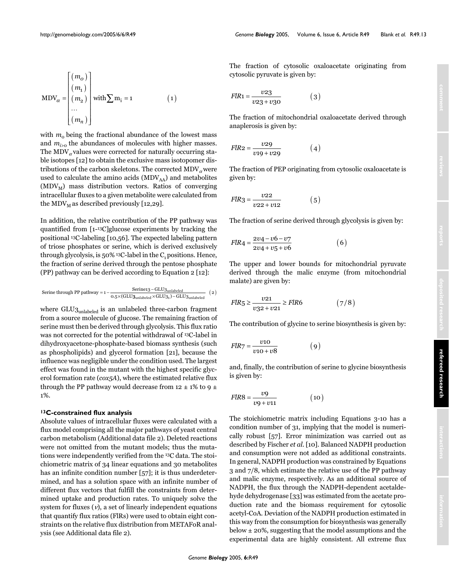$$
MDV_{\alpha} = \begin{bmatrix} (m_0) \\ (m_1) \\ (m_2) \\ \dots \\ (m_n) \end{bmatrix} with \sum m_i = 1
$$
 (1)

with  $m_0$  being the fractional abundance of the lowest mass and  $m_{i>0}$  the abundances of molecules with higher masses. The MDV $_{\alpha}$  values were corrected for naturally occurring stable isotopes [12] to obtain the exclusive mass isotopomer distributions of the carbon skeletons. The corrected  $\text{MDV}_\alpha$  were used to calculate the amino acids  $(MDV<sub>AA</sub>)$  and metabolites  $(MDV<sub>M</sub>)$  mass distribution vectors. Ratios of converging intracellular fluxes to a given metabolite were calculated from the MDV<sub>M</sub> as described previously [12,29].

In addition, the relative contribution of the PP pathway was quantified from [1-13C]glucose experiments by tracking the positional 13C-labeling [10,56]. The expected labeling pattern of triose phosphates or serine, which is derived exclusively through glycolysis, is  $50\%$ <sup>13</sup>C-label in the C<sub>1</sub> positions. Hence, the fraction of serine derived through the pentose phosphate (PP) pathway can be derived according to Equation 2 [12]:

$$
\text{Serine through PP pathway} = 1 - \frac{\text{Serine13-GLU3}_{\text{unlabeled}}}{0.5 \times (\text{GLU3}_{\text{unlabeled}} \times \text{GLU3}_1) - \text{GLU3}_{\text{unlabeled}}} \quad \text{(2)}
$$

where GLU3<sub>unlabeled</sub> is an unlabeled three-carbon fragment from a source molecule of glucose. The remaining fraction of serine must then be derived through glycolysis. This flux ratio was not corrected for the potential withdrawal of 13C-label in dihydroxyacetone-phosphate-based biomass synthesis (such as phospholipids) and glycerol formation [21], because the influence was negligible under the condition used. The largest effect was found in the mutant with the highest specific glycerol formation rate (*cox5A*), where the estimated relative flux through the PP pathway would decrease from  $12 \pm 1\%$  to 9  $\pm$ 1%.

#### **13C-constrained flux analysis**

Absolute values of intracellular fluxes were calculated with a flux model comprising all the major pathways of yeast central carbon metabolism (Additional data file 2). Deleted reactions were not omitted from the mutant models; thus the mutations were independently verified from the 13C data. The stoichiometric matrix of 34 linear equations and 30 metabolites has an infinite condition number [\[57](#page-14-3)]; it is thus underdetermined, and has a solution space with an infinite number of different flux vectors that fulfill the constraints from determined uptake and production rates. To uniquely solve the system for fluxes  $(v)$ , a set of linearly independent equations that quantify flux ratios (FlRs) were used to obtain eight constraints on the relative flux distribution from METAFoR analysis (see Additional data file 2).

The fraction of cytosolic oxaloacetate originating from cytosolic pyruvate is given by:

$$
FIR1 = \frac{v23}{v23 + v30} \tag{3}
$$

The fraction of mitochondrial oxaloacetate derived through anaplerosis is given by:

$$
FIR2 = \frac{v29}{v19 + v29} \tag{4}
$$

The fraction of PEP originating from cytosolic oxaloacetate is given by:

$$
FlR3 = \frac{v22}{v22 + v12} \tag{5}
$$

The fraction of serine derived through glycolysis is given by:

$$
FIR4 = \frac{2v4 - v6 - v7}{2v4 + v5 + v6}
$$
 (6)

The upper and lower bounds for mitochondrial pyruvate derived through the malic enzyme (from mitochondrial malate) are given by:

$$
FIR_5 \ge \frac{v21}{v32 + v21} \ge FIR6 \tag{7/8}
$$

The contribution of glycine to serine biosynthesis is given by:

$$
FlR7 = \frac{v10}{v10 + v8} \tag{9}
$$

and, finally, the contribution of serine to glycine biosynthesis is given by:

$$
FlR8 = \frac{v9}{v9 + v11} \tag{10}
$$

The stoichiometric matrix including Equations 3-10 has a condition number of 31, implying that the model is numerically robust [\[57](#page-14-3)]. Error minimization was carried out as described by Fischer *et al*. [10]. Balanced NADPH production and consumption were not added as additional constraints. In general, NADPH production was constrained by Equations 3 and 7/8, which estimate the relative use of the PP pathway and malic enzyme, respectively. As an additional source of NADPH, the flux through the NADPH-dependent acetaldehyde dehydrogenase [33] was estimated from the acetate production rate and the biomass requirement for cytosolic acetyl-CoA. Deviation of the NADPH production estimated in this way from the consumption for biosynthesis was generally below  $\pm$  20%, suggesting that the model assumptions and the experimental data are highly consistent. All extreme flux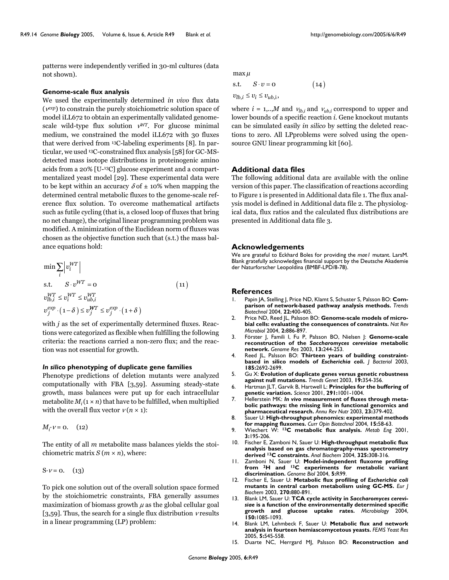patterns were independently verified in 30-ml cultures (data not shown).

## **Genome-scale flux analysis**

We used the experimentally determined *in vivo* flux data (ν*exp*) to constrain the purely stoichiometric solution space of model iLL672 to obtain an experimentally validated genomescale wild-type flux solution ν*WT*. For glucose minimal medium, we constrained the model iLL672 with 30 fluxes that were derived from 13C-labeling experiments [8]. In particular, we used 13C-constrained flux analysis [58] for GC-MSdetected mass isotope distributions in proteinogenic amino acids from a 20% [U-13C] glucose experiment and a compartmentalized yeast model [29]. These experimental data were to be kept within an accuracy  $\delta$  of  $\pm$  10% when mapping the determined central metabolic fluxes to the genome-scale reference flux solution. To overcome mathematical artifacts such as futile cycling (that is, a closed loop of fluxes that bring no net change), the original linear programming problem was modified. A minimization of the Euclidean norm of fluxes was chosen as the objective function such that (s.t.) the mass balance equations hold:

$$
\min \sum_{i} \left| v_i^{WT} \right|
$$
\ns.t. 
$$
S \cdot v^{WT} = 0
$$
\n
$$
v_{lb,i}^{WT} \le v_i^{WT} \le v_{ub,i}^{WT}
$$
\n
$$
v_j^{exp} \cdot (1 - \delta) \le v_j^{WT} \le v_j^{exp} \cdot (1 + \delta)
$$
\n(11)

with *j* as the set of experimentally determined fluxes. Reactions were categorized as flexible when fulfilling the following criteria: the reactions carried a non-zero flux; and the reaction was not essential for growth.

#### *In silico* **phenotyping of duplicate gene families**

Phenotype predictions of deletion mutants were analyzed computationally with FBA [3,59]. Assuming steady-state growth, mass balances were put up for each intracellular metabolite  $M_i$  ( $i \times n$ ) that have to be fulfilled, when multiplied with the overall flux vector  $v(n \times 1)$ :

$$
M_i \cdot v = 0. \quad (12)
$$

The entity of all *m* metabolite mass balances yields the stoichiometric matrix  $S(m \times n)$ , where:

 $S \cdot v = 0.$  (13)

To pick one solution out of the overall solution space formed by the stoichiometric constraints, FBA generally assumes maximization of biomass growth  $\mu$  as the global cellular goal [3,59]. Thus, the search for a single flux distribution  $\nu$  results in a linear programming (LP) problem:

max  $\mu$ 

s.t.  $S \cdot v = 0$  (14)  $(14)$ 

 $v_{lb,i} \le v_i \le v_{ub,i},$ 

where  $i = 1, \dots, M$  and  $v_{lb,i}$  and  $v_{ub,i}$  correspond to upper and lower bounds of a specific reaction *i*. Gene knockout mutants can be simulated easily *in silico* by setting the deleted reactions to zero. All LPproblems were solved using the opensource GNU linear programming kit [60].

## **Additional data files**

The following additional data are available with the online version of this paper. The classification of reactions according to Figure 1 is presented in Additional data file 1. The flux analysis model is defined in Additional data file 2. The physiological data, flux ratios and the calculated flux distributions are presented in Additional data file 3.

#### **Acknowledgements**

We are grateful to Eckhard Boles for providing the *mae1* mutant. LarsM. Blank gratefully acknowledges financial support by the Deutsche Akademie der Naturforscher Leopoldina (BMBF-LPD/8-78).

## **References**

- Papin JA, Stelling J, Price ND, Klamt S, Schuster S, Palsson BO: [Com](http://www.ncbi.nlm.nih.gov/entrez/query.fcgi?cmd=Retrieve&db=PubMed&dopt=Abstract&list_uids=15283984)**[parison of network-based pathway analysis methods.](http://www.ncbi.nlm.nih.gov/entrez/query.fcgi?cmd=Retrieve&db=PubMed&dopt=Abstract&list_uids=15283984)** *Trends Biotechnol* 2004, **22:**400-405.
- 2. Price ND, Reed JL, Palsson BO: **[Genome-scale models of micro](http://www.ncbi.nlm.nih.gov/entrez/query.fcgi?cmd=Retrieve&db=PubMed&dopt=Abstract&list_uids=15494745)[bial cells: evaluating the consequences of constraints.](http://www.ncbi.nlm.nih.gov/entrez/query.fcgi?cmd=Retrieve&db=PubMed&dopt=Abstract&list_uids=15494745)** *Nat Rev Microbiol* 2004, **2:**886-897.
- 3. Förster J, Famili I, Fu P, Palsson BO, Nielsen J: **Genome-scale reconstruction of the** *Saccharomyces cerevisiae* **[metabolic](http://www.ncbi.nlm.nih.gov/entrez/query.fcgi?cmd=Retrieve&db=PubMed&dopt=Abstract&list_uids=12566402) [network.](http://www.ncbi.nlm.nih.gov/entrez/query.fcgi?cmd=Retrieve&db=PubMed&dopt=Abstract&list_uids=12566402)** *Genome Res* 2003, **13:**244-253.
- 4. Reed JL, Palsson BO: **Thirteen years of building constraintbased in silico models of** *Escherichia coli***[.](http://www.ncbi.nlm.nih.gov/entrez/query.fcgi?cmd=Retrieve&db=PubMed&dopt=Abstract&list_uids=12700248)** *J Bacteriol* 2003, **185:**2692-2699.
- 5. Gu X: **[Evolution of duplicate genes versus genetic robustness](http://www.ncbi.nlm.nih.gov/entrez/query.fcgi?cmd=Retrieve&db=PubMed&dopt=Abstract&list_uids=12850437) [against null mutations.](http://www.ncbi.nlm.nih.gov/entrez/query.fcgi?cmd=Retrieve&db=PubMed&dopt=Abstract&list_uids=12850437)** *Trends Genet* 2003, **19:**354-356.
- 6. Hartman JLT, Garvik B, Hartwell L: **[Principles for the buffering of](http://www.ncbi.nlm.nih.gov/entrez/query.fcgi?cmd=Retrieve&db=PubMed&dopt=Abstract&list_uids=11232561) [genetic variation.](http://www.ncbi.nlm.nih.gov/entrez/query.fcgi?cmd=Retrieve&db=PubMed&dopt=Abstract&list_uids=11232561)** *Science* 2001, **291:**1001-1004.
- 7. Hellerstein MK: *In vivo* **[measurement of fluxes through meta](http://www.ncbi.nlm.nih.gov/entrez/query.fcgi?cmd=Retrieve&db=PubMed&dopt=Abstract&list_uids=12704218)[bolic pathways: the missing link in functional genomics and](http://www.ncbi.nlm.nih.gov/entrez/query.fcgi?cmd=Retrieve&db=PubMed&dopt=Abstract&list_uids=12704218) [pharmaceutical research.](http://www.ncbi.nlm.nih.gov/entrez/query.fcgi?cmd=Retrieve&db=PubMed&dopt=Abstract&list_uids=12704218)** *Annu Rev Nutr* 2003, **23:**379-402.
- 8. Sauer U: **[High-throughput phenomics: experimental methods](http://www.ncbi.nlm.nih.gov/entrez/query.fcgi?cmd=Retrieve&db=PubMed&dopt=Abstract&list_uids=15102468) [for mapping fluxomes.](http://www.ncbi.nlm.nih.gov/entrez/query.fcgi?cmd=Retrieve&db=PubMed&dopt=Abstract&list_uids=15102468)** *Curr Opin Biotechnol* 2004, **15:**58-63.
- 9. Wiechert W: **1[3C metabolic flux analysis.](http://www.ncbi.nlm.nih.gov/entrez/query.fcgi?cmd=Retrieve&db=PubMed&dopt=Abstract&list_uids=11461141)** *Metab Eng* 2001, **3:**195-206.
- 10. Fischer E, Zamboni N, Sauer U: **High-throughput metabolic flux analysis based on gas chromatography-mass spectrometry derived 1[3C constraints.](http://www.ncbi.nlm.nih.gov/entrez/query.fcgi?cmd=Retrieve&db=PubMed&dopt=Abstract&list_uids=14751266)** *Anal Biochem* 2004, **325:**308-316.
- 11. Zamboni N, Sauer U: **Model-independent fluxome profiling from 2H and 1[3C experiments for metabolic variant](http://www.ncbi.nlm.nih.gov/entrez/query.fcgi?cmd=Retrieve&db=PubMed&dopt=Abstract&list_uids=15575973) [discrimination.](http://www.ncbi.nlm.nih.gov/entrez/query.fcgi?cmd=Retrieve&db=PubMed&dopt=Abstract&list_uids=15575973)** *Genome Biol* 2004, **5:**R99.
- 12. Fischer E, Sauer U: **Metabolic flux profiling of** *Escherichia coli* **[mutants in central carbon metabolism using GC-MS.](http://www.ncbi.nlm.nih.gov/entrez/query.fcgi?cmd=Retrieve&db=PubMed&dopt=Abstract&list_uids=12603321)** *Eur J Biochem* 2003, **270:**880-891.
- <span id="page-13-0"></span>13. Blank LM, Sauer U: **TCA cycle activity in** *Saccharomyces cerevisiae* **[is a function of the environmentally determined specific](http://www.ncbi.nlm.nih.gov/entrez/query.fcgi?cmd=Retrieve&db=PubMed&dopt=Abstract&list_uids=15073318)** glucose uptake rates. Microbiology 2004, **150:**1085-1093.
- 14. Blank LM, Lehmbeck F, Sauer U: **[Metabolic flux and network](http://www.ncbi.nlm.nih.gov/entrez/query.fcgi?cmd=Retrieve&db=PubMed&dopt=Abstract&list_uids=15780654) [analysis in fourteen hemiascomycetous yeasts.](http://www.ncbi.nlm.nih.gov/entrez/query.fcgi?cmd=Retrieve&db=PubMed&dopt=Abstract&list_uids=15780654)** *FEMS Yeast Res* 2005, **5:**545-558.
- 15. Duarte NC, Herrgard MJ, Palsson BO: **Reconstruction and**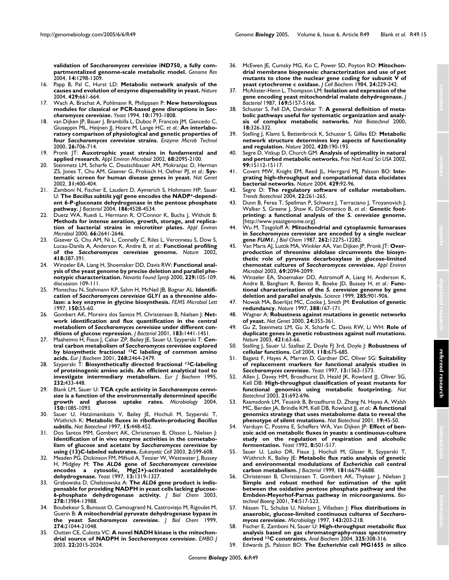**validation of** *Saccharomyces cerevisiae* **[iND750, a fully com](http://www.ncbi.nlm.nih.gov/entrez/query.fcgi?cmd=Retrieve&db=PubMed&dopt=Abstract&list_uids=15197165)[partmentalized genome-scale metabolic model.](http://www.ncbi.nlm.nih.gov/entrez/query.fcgi?cmd=Retrieve&db=PubMed&dopt=Abstract&list_uids=15197165)** *Genome Res* 2004, **14:**1298-1309.

- 16. Papp B, Pal C, Hurst LD: **[Metabolic network analysis of the](http://www.ncbi.nlm.nih.gov/entrez/query.fcgi?cmd=Retrieve&db=PubMed&dopt=Abstract&list_uids=15190353) [causes and evolution of enzyme dispensability in yeast.](http://www.ncbi.nlm.nih.gov/entrez/query.fcgi?cmd=Retrieve&db=PubMed&dopt=Abstract&list_uids=15190353)** *Nature* 2004, **429:**661-664.
- <span id="page-14-0"></span>17. Wach A, Brachat A, Pohlmann R, Philippsen P: **New heterologous modules for classical or PCR-based gene disruptions in** *Saccharomyces cerevisiae***[.](http://www.ncbi.nlm.nih.gov/entrez/query.fcgi?cmd=Retrieve&db=PubMed&dopt=Abstract&list_uids=7747518)** *Yeast* 1994, **10:**1793-1808.
- 18. van Dijken JP, Bauer J, Brambilla L, Duboc P, Francois JM, Gancedo C, Giuseppin ML, Heijnen JJ, Hoare M, Lange HC, *et al.*: **An interlaboratory comparison of physiological and genetic properties of four** *Saccharomyces cerevisiae* **[strains.](http://www.ncbi.nlm.nih.gov/entrez/query.fcgi?cmd=Retrieve&db=PubMed&dopt=Abstract&list_uids=10862876)** *Enzyme Microb Technol* 2000, **26:**706-714.
- 19. Pronk JT: **[Auxotrophic yeast strains in fundamental and](http://www.ncbi.nlm.nih.gov/entrez/query.fcgi?cmd=Retrieve&db=PubMed&dopt=Abstract&list_uids=11976076) [applied research.](http://www.ncbi.nlm.nih.gov/entrez/query.fcgi?cmd=Retrieve&db=PubMed&dopt=Abstract&list_uids=11976076)** *Appl Environ Microbiol* 2002, **68:**2095-2100.
- 20. Steinmetz LM, Scharfe C, Deutschbauer AM, Mokranjac D, Herman ZS, Jones T, Chu AM, Giaever G, Prokisch H, Oefner PJ, *et al.*: **[Sys](http://www.ncbi.nlm.nih.gov/entrez/query.fcgi?cmd=Retrieve&db=PubMed&dopt=Abstract&list_uids=12134146)[tematic screen for human disease genes in yeast.](http://www.ncbi.nlm.nih.gov/entrez/query.fcgi?cmd=Retrieve&db=PubMed&dopt=Abstract&list_uids=12134146)** *Nat Genet* 2002, **31:**400-404.
- 21. Zamboni N, Fischer E, Laudert D, Aymerich S, Hohmann HP, Sauer U: **The** *Bacillus subtilis yqjI* **gene encodes the NADP[+-depend](http://www.ncbi.nlm.nih.gov/entrez/query.fcgi?cmd=Retrieve&db=PubMed&dopt=Abstract&list_uids=15231785)[ent 6-P-gluconate dehydrogenase in the pentose phosphate](http://www.ncbi.nlm.nih.gov/entrez/query.fcgi?cmd=Retrieve&db=PubMed&dopt=Abstract&list_uids=15231785) [pathway.](http://www.ncbi.nlm.nih.gov/entrez/query.fcgi?cmd=Retrieve&db=PubMed&dopt=Abstract&list_uids=15231785)** *J Bacteriol* 2004, **186:**4528-4534.
- 22. Duetz WA, Ruedi L, Hermann R, O'Connor K, Buchs J, Witholt B: **[Methods for intense aeration, growth, storage, and replica](http://www.ncbi.nlm.nih.gov/entrez/query.fcgi?cmd=Retrieve&db=PubMed&dopt=Abstract&list_uids=10831450)[tion of bacterial strains in microtiter plates.](http://www.ncbi.nlm.nih.gov/entrez/query.fcgi?cmd=Retrieve&db=PubMed&dopt=Abstract&list_uids=10831450)** *Appl Environ Microbiol* 2000, **66:**2641-2646.
- 23. Giaever G, Chu AM, Ni L, Connelly C, Riles L, Veronneau S, Dow S, Lucau-Danila A, Anderson K, Andre B, *et al.*: **Functional profiling of the** *Saccharomyces cerevisiae* **[genome.](http://www.ncbi.nlm.nih.gov/entrez/query.fcgi?cmd=Retrieve&db=PubMed&dopt=Abstract&list_uids=12140549)** *Nature* 2002, **418:**387-391.
- 24. Winzeler EA, Liang H, Shoemaker DD, Davis RW: **[Functional anal](http://www.ncbi.nlm.nih.gov/entrez/query.fcgi?cmd=Retrieve&db=PubMed&dopt=Abstract&list_uids=11084935)[ysis of the yeast genome by precise deletion and parallel phe](http://www.ncbi.nlm.nih.gov/entrez/query.fcgi?cmd=Retrieve&db=PubMed&dopt=Abstract&list_uids=11084935)[notypic characterization.](http://www.ncbi.nlm.nih.gov/entrez/query.fcgi?cmd=Retrieve&db=PubMed&dopt=Abstract&list_uids=11084935)** *Novartis Found Symp* 2000, **229:**105-109. discussion 109-111.
- 25. Monschau N, Stahmann KP, Sahm H, McNeil JB, Bognar AL: **Identification of** *Saccharomyces cerevisiae GLY1* **[as a threonine aldo](http://www.ncbi.nlm.nih.gov/entrez/query.fcgi?cmd=Retrieve&db=PubMed&dopt=Abstract&list_uids=9163906)[lase: a key enzyme in glycine biosynthesis.](http://www.ncbi.nlm.nih.gov/entrez/query.fcgi?cmd=Retrieve&db=PubMed&dopt=Abstract&list_uids=9163906)** *FEMS Microbiol Lett* 1997, **150:**55-60.
- 26. Gombert AK, Moreira dos Santos M, Christensen B, Nielsen J: **Network identification and flux quantification in the central metabolism of** *Saccharomyces cerevisiae* **[under different con](http://www.ncbi.nlm.nih.gov/entrez/query.fcgi?cmd=Retrieve&db=PubMed&dopt=Abstract&list_uids=11157958)[ditions of glucose repression.](http://www.ncbi.nlm.nih.gov/entrez/query.fcgi?cmd=Retrieve&db=PubMed&dopt=Abstract&list_uids=11157958)** *J Bacteriol* 2001, **183:**1441-1451.
- 27. Maaheimo H, Fiaux J, Cakar ZP, Bailey JE, Sauer U, Szyperski T: **Central carbon metabolism of** *Saccharomyces cerevisiae* **explored by biosynthetic fractional 13[C labeling of common amino](http://www.ncbi.nlm.nih.gov/entrez/query.fcgi?cmd=Retrieve&db=PubMed&dopt=Abstract&list_uids=11298766) [acids.](http://www.ncbi.nlm.nih.gov/entrez/query.fcgi?cmd=Retrieve&db=PubMed&dopt=Abstract&list_uids=11298766)** *Eur J Biochem* 2001, **268:**2464-2479.
- <span id="page-14-1"></span>28. Szyperski T: **Biosynthetically directed fractional 1[3C-labeling](http://www.ncbi.nlm.nih.gov/entrez/query.fcgi?cmd=Retrieve&db=PubMed&dopt=Abstract&list_uids=7556192) [of proteinogenic amino acids. An efficient analytical tool to](http://www.ncbi.nlm.nih.gov/entrez/query.fcgi?cmd=Retrieve&db=PubMed&dopt=Abstract&list_uids=7556192) [investigate intermediary metabolism.](http://www.ncbi.nlm.nih.gov/entrez/query.fcgi?cmd=Retrieve&db=PubMed&dopt=Abstract&list_uids=7556192)** *Eur J Biochem* 1995, **232:**433-448.
- 29. Blank LM, Sauer U: **TCA cycle activity in** *Saccharomyces cerevisiae* **[is a function of the environmentally determined specific](http://www.ncbi.nlm.nih.gov/entrez/query.fcgi?cmd=Retrieve&db=PubMed&dopt=Abstract&list_uids=15073318) [growth and glucose uptake rates.](http://www.ncbi.nlm.nih.gov/entrez/query.fcgi?cmd=Retrieve&db=PubMed&dopt=Abstract&list_uids=15073318)** *Microbiology* 2004, **150:**1085-1093.
- 30. Sauer U, Hatzimanikatis V, Bailey JE, Hochuli M, Szyperski T, Wüthrich K: **Metabolic fluxes in riboflavin-producing** *Bacillus subtilis***[.](http://www.ncbi.nlm.nih.gov/entrez/query.fcgi?cmd=Retrieve&db=PubMed&dopt=Abstract&list_uids=9131624)** *Nat Biotechnol* 1997, **15:**448-452.
- 31. Dos Santos MM, Gombert AK, Christensen B, Olsson L, Nielsen J: **Identification of in vivo enzyme activities in the cometabolism of glucose and acetate by** *Saccharomyces cerevisiae* **[by](http://www.ncbi.nlm.nih.gov/entrez/query.fcgi?cmd=Retrieve&db=PubMed&dopt=Abstract&list_uids=12796305) [using \(13\)C-labeled substrates.](http://www.ncbi.nlm.nih.gov/entrez/query.fcgi?cmd=Retrieve&db=PubMed&dopt=Abstract&list_uids=12796305)** *Eukaryotic Cell* 2003, **2:**599-608.
- 32. Meaden PG, Dickinson FM, Mifsud A, Tessier W, Westwater J, Bussey H, Midgley M: **The** *ALD6* **gene of** *Saccharomyces cerevisiae* **[encodes a cytosolic, Mg\(2+\)-activated acetaldehyde](http://www.ncbi.nlm.nih.gov/entrez/query.fcgi?cmd=Retrieve&db=PubMed&dopt=Abstract&list_uids=9392076) [dehydrogenase.](http://www.ncbi.nlm.nih.gov/entrez/query.fcgi?cmd=Retrieve&db=PubMed&dopt=Abstract&list_uids=9392076)** *Yeast* 1997, **13:**1319-1327.
- 33. Grabowska D, Chelstowska A: **The** *ALD6* **[gene product is indis](http://www.ncbi.nlm.nih.gov/entrez/query.fcgi?cmd=Retrieve&db=PubMed&dopt=Abstract&list_uids=12584194)[pensable for providing NADPH in yeast cells lacking glucose-](http://www.ncbi.nlm.nih.gov/entrez/query.fcgi?cmd=Retrieve&db=PubMed&dopt=Abstract&list_uids=12584194)[6-phosphate dehydrogenase activity.](http://www.ncbi.nlm.nih.gov/entrez/query.fcgi?cmd=Retrieve&db=PubMed&dopt=Abstract&list_uids=12584194)** *J Biol Chem* 2003, **278:**13984-13988.
- 34. Boubekeur S, Bunoust O, Camougrand N, Castroviejo M, Rigoulet M, Guerin B: **A mitochondrial pyruvate dehydrogenase bypass in the yeast** *Saccharomyces cerevisiae***[.](http://www.ncbi.nlm.nih.gov/entrez/query.fcgi?cmd=Retrieve&db=PubMed&dopt=Abstract&list_uids=10409655)** *J Biol Chem* 1999, **274:**21044-21048.
- 35. Outten CE, Culotta VC: **A novel NADH kinase is the mitochondrial source of NADPH in** *Saccharomyces cerevisiae***[.](http://www.ncbi.nlm.nih.gov/entrez/query.fcgi?cmd=Retrieve&db=PubMed&dopt=Abstract&list_uids=12727869)** *EMBO J* 2003, **22:**2015-2024.
- 36. McEwen JE, Cumsky MG, Ko C, Power SD, Poyton RO: **[Mitochon](http://www.ncbi.nlm.nih.gov/entrez/query.fcgi?cmd=Retrieve&db=PubMed&dopt=Abstract&list_uids=6330135)[drial membrane biogenesis: characterization and use of pet](http://www.ncbi.nlm.nih.gov/entrez/query.fcgi?cmd=Retrieve&db=PubMed&dopt=Abstract&list_uids=6330135) mutants to clone the nuclear gene coding for subunit V of [yeast cytochrome c oxidase.](http://www.ncbi.nlm.nih.gov/entrez/query.fcgi?cmd=Retrieve&db=PubMed&dopt=Abstract&list_uids=6330135)** *J Cell Biochem* 1984, **24:**229-242.
- 37. McAlister-Henn L, Thompson LM: **[Isolation and expression of the](http://www.ncbi.nlm.nih.gov/entrez/query.fcgi?cmd=Retrieve&db=PubMed&dopt=Abstract&list_uids=3312168) [gene encoding yeast mitochondrial malate dehydrogenase.](http://www.ncbi.nlm.nih.gov/entrez/query.fcgi?cmd=Retrieve&db=PubMed&dopt=Abstract&list_uids=3312168)** *J Bacteriol* 1987, **169:**5157-5166.
- 38. Schuster S, Fell DA, Dandekar T: **[A general definition of meta](http://www.ncbi.nlm.nih.gov/entrez/query.fcgi?cmd=Retrieve&db=PubMed&dopt=Abstract&list_uids=10700151)[bolic pathways useful for systematic organization and analy](http://www.ncbi.nlm.nih.gov/entrez/query.fcgi?cmd=Retrieve&db=PubMed&dopt=Abstract&list_uids=10700151)[sis of complex metabolic networks.](http://www.ncbi.nlm.nih.gov/entrez/query.fcgi?cmd=Retrieve&db=PubMed&dopt=Abstract&list_uids=10700151)** *Nat Biotechnol* 2000, **18:**326-332.
- 39. Stelling J, Klamt S, Bettenbrock K, Schuster S, Gilles ED: **[Metabolic](http://www.ncbi.nlm.nih.gov/entrez/query.fcgi?cmd=Retrieve&db=PubMed&dopt=Abstract&list_uids=12432396) [network structure determines key aspects of functionality](http://www.ncbi.nlm.nih.gov/entrez/query.fcgi?cmd=Retrieve&db=PubMed&dopt=Abstract&list_uids=12432396) [and regulation.](http://www.ncbi.nlm.nih.gov/entrez/query.fcgi?cmd=Retrieve&db=PubMed&dopt=Abstract&list_uids=12432396)** *Nature* 2002, **420:**190-193.
- 40. Segre D, Vitkup D, Church GM: **[Analysis of optimality in natural](http://www.ncbi.nlm.nih.gov/entrez/query.fcgi?cmd=Retrieve&db=PubMed&dopt=Abstract&list_uids=12415116) [and perturbed metabolic networks.](http://www.ncbi.nlm.nih.gov/entrez/query.fcgi?cmd=Retrieve&db=PubMed&dopt=Abstract&list_uids=12415116)** *Proc Natl Acad Sci USA* 2002, **99:**15112-15117.
- 41. Covert MW, Knight EM, Reed JL, Herrgard MJ, Palsson BO: **[Inte](http://www.ncbi.nlm.nih.gov/entrez/query.fcgi?cmd=Retrieve&db=PubMed&dopt=Abstract&list_uids=15129285)[grating high-throughput and computational data elucidates](http://www.ncbi.nlm.nih.gov/entrez/query.fcgi?cmd=Retrieve&db=PubMed&dopt=Abstract&list_uids=15129285) [bacterial networks.](http://www.ncbi.nlm.nih.gov/entrez/query.fcgi?cmd=Retrieve&db=PubMed&dopt=Abstract&list_uids=15129285)** *Nature* 2004, **429:**92-96.
- Segre D: [The regulatory software of cellular metabolism.](http://www.ncbi.nlm.nih.gov/entrez/query.fcgi?cmd=Retrieve&db=PubMed&dopt=Abstract&list_uids=15158051) *Trends Biotechnol* 2004, **22:**261-265.
- 43. Dunn B, Ferea T, Spellman P, Schwarz J, Terraciano J, Troyanovich J, Walker S, Greene J, Shaw K, DiDomenico B, *et al.*: **Genetic footprinting: a functional analysis of the** *S. cerevisiae* **genome.** [\[http://www.yeastgenome.org\].](http://www.yeastgenome.org)
- <span id="page-14-2"></span>44. Wu M, Tzagoloff A: **Mitochondrial and cytoplasmic fumarases in** *Saccharomyces cerevisiae* **are encoded by a single nuclear gene** *FUM1***[.](http://www.ncbi.nlm.nih.gov/entrez/query.fcgi?cmd=Retrieve&db=PubMed&dopt=Abstract&list_uids=3040736)** *J Biol Chem* 1987, **262:**12275-12282.
- 45. Van Maris AJ, Luttik MA, Winkler AA, Van Dijken JP, Pronk JT: **Overproduction of threonine aldolase circumvents the biosynthetic role of pyruvate decarboxylase in glucose-limited chemostat cultures of** *Saccharomyces cerevisiae***[.](http://www.ncbi.nlm.nih.gov/entrez/query.fcgi?cmd=Retrieve&db=PubMed&dopt=Abstract&list_uids=12676688)** *Appl Environ Microbiol* 2003, **69:**2094-2099.
- 46. Winzeler EA, Shoemaker DD, Astromoff A, Liang H, Anderson K, Andre B, Bangham R, Benito R, Boeke JD, Bussey H, *et al.*: **Functional characterization of the** *S. cerevisiae* **[genome by gene](http://www.ncbi.nlm.nih.gov/entrez/query.fcgi?cmd=Retrieve&db=PubMed&dopt=Abstract&list_uids=10436161) [deletion and parallel analysis.](http://www.ncbi.nlm.nih.gov/entrez/query.fcgi?cmd=Retrieve&db=PubMed&dopt=Abstract&list_uids=10436161)** *Science* 1999, **285:**901-906.
- 47. Nowak MA, Boerlijst MC, Cooke J, Smith JM: **[Evolution of genetic](http://www.ncbi.nlm.nih.gov/entrez/query.fcgi?cmd=Retrieve&db=PubMed&dopt=Abstract&list_uids=9217155) [redundancy.](http://www.ncbi.nlm.nih.gov/entrez/query.fcgi?cmd=Retrieve&db=PubMed&dopt=Abstract&list_uids=9217155)** *Nature* 1997, **388:**167-171.
- 48. Wagner A: **[Robustness against mutations in genetic networks](http://www.ncbi.nlm.nih.gov/entrez/query.fcgi?cmd=Retrieve&db=PubMed&dopt=Abstract&list_uids=10742097) [of yeast.](http://www.ncbi.nlm.nih.gov/entrez/query.fcgi?cmd=Retrieve&db=PubMed&dopt=Abstract&list_uids=10742097)** *Nat Genet* 2000, **24:**355-361.
- 49. Gu Z, Steinmetz LM, Gu X, Scharfe C, Davis RW, Li WH: **[Role of](http://www.ncbi.nlm.nih.gov/entrez/query.fcgi?cmd=Retrieve&db=PubMed&dopt=Abstract&list_uids=12511954) [duplicate genes in genetic robustness against null mutations.](http://www.ncbi.nlm.nih.gov/entrez/query.fcgi?cmd=Retrieve&db=PubMed&dopt=Abstract&list_uids=12511954)** *Nature* 2003, **421:**63-66.
- Stelling J, Sauer U, Szallasi Z, Doyle FJ 3rd, Doyle J: [Robustness of](http://www.ncbi.nlm.nih.gov/entrez/query.fcgi?cmd=Retrieve&db=PubMed&dopt=Abstract&list_uids=15369668) **[cellular functions.](http://www.ncbi.nlm.nih.gov/entrez/query.fcgi?cmd=Retrieve&db=PubMed&dopt=Abstract&list_uids=15369668)** *Cell* 2004, **118:**675-685.
- 51. Baganz F, Hayes A, Marren D, Gardner DC, Oliver SG: **Suitability of replacement markers for functional analysis studies in** *Saccharomyces cerevisiae***[.](http://www.ncbi.nlm.nih.gov/entrez/query.fcgi?cmd=Retrieve&db=PubMed&dopt=Abstract&list_uids=9509575)** *Yeast* 1997, **13:**1563-1573.
- Allen J, Davey HM, Broadhurst D, Heald JK, Rowland JJ, Oliver SG, Kell DB: **[High-throughput classification of yeast mutants for](http://www.ncbi.nlm.nih.gov/entrez/query.fcgi?cmd=Retrieve&db=PubMed&dopt=Abstract&list_uids=12740584) [functional genomics using metabolic footprinting.](http://www.ncbi.nlm.nih.gov/entrez/query.fcgi?cmd=Retrieve&db=PubMed&dopt=Abstract&list_uids=12740584)** *Nat Biotechnol* 2003, **21:**692-696.
- Raamsdonk LM, Teusink B, Broadhurst D, Zhang N, Hayes A, Walsh MC, Berden JA, Brindle KM, Kell DB, Rowland JJ, *et al.*: **[A functional](http://www.ncbi.nlm.nih.gov/entrez/query.fcgi?cmd=Retrieve&db=PubMed&dopt=Abstract&list_uids=11135551) [genomics strategy that uses metabolome data to reveal the](http://www.ncbi.nlm.nih.gov/entrez/query.fcgi?cmd=Retrieve&db=PubMed&dopt=Abstract&list_uids=11135551) [phenotype of silent mutations.](http://www.ncbi.nlm.nih.gov/entrez/query.fcgi?cmd=Retrieve&db=PubMed&dopt=Abstract&list_uids=11135551)** *Nat Biotechnol* 2001, **19:**45-50.
- 54. Verduyn C, Postma E, Scheffers WA, Van Dijken JP: **[Effect of ben](http://www.ncbi.nlm.nih.gov/entrez/query.fcgi?cmd=Retrieve&db=PubMed&dopt=Abstract&list_uids=1523884)[zoic acid on metabolic fluxes in yeasts: a continuous-culture](http://www.ncbi.nlm.nih.gov/entrez/query.fcgi?cmd=Retrieve&db=PubMed&dopt=Abstract&list_uids=1523884) study on the regulation of respiration and alcoholic [fermentation.](http://www.ncbi.nlm.nih.gov/entrez/query.fcgi?cmd=Retrieve&db=PubMed&dopt=Abstract&list_uids=1523884)** *Yeast* 1992, **8:**501-517.
- Sauer U, Lasko DR, Fiaux J, Hochuli M, Glaser R, Szyperski T, Wüthrich K, Bailey JE: **Metabolic flux ratio analysis of genetic and environmental modulations of** *Escherichia coli* **[central](http://www.ncbi.nlm.nih.gov/entrez/query.fcgi?cmd=Retrieve&db=PubMed&dopt=Abstract&list_uids=10542169) [carbon metabolism.](http://www.ncbi.nlm.nih.gov/entrez/query.fcgi?cmd=Retrieve&db=PubMed&dopt=Abstract&list_uids=10542169)** *J Bacteriol* 1999, **181:**6679-6688.
- 56. Christensen B, Christiansen T, Gombert AK, Thykaer J, Nielsen J: **[Simple and robust method for estimation of the split](http://www.ncbi.nlm.nih.gov/entrez/query.fcgi?cmd=Retrieve&db=PubMed&dopt=Abstract&list_uids=11494219) between the oxidative pentose phosphate pathway and the [Embden-Meyerhof-Parnas pathway in microorganisms.](http://www.ncbi.nlm.nih.gov/entrez/query.fcgi?cmd=Retrieve&db=PubMed&dopt=Abstract&list_uids=11494219)** *Biotechnol Bioeng* 2001, **74:**517-523.
- <span id="page-14-3"></span>57. Nissen TL, Schulze U, Nielsen J, Villadsen J: **Flux distributions in anaerobic, glucose-limited continuous cultures of** *Saccharomyces cerevisiae***[.](http://www.ncbi.nlm.nih.gov/entrez/query.fcgi?cmd=Retrieve&db=PubMed&dopt=Abstract&list_uids=9025295)** *Microbiology* 1997, **143:**203-218.
- 58. Fischer E, Zamboni N, Sauer U: **High-throughput metabolic flux analysis based on gas chromatography-mass spectrometry derived 13[C constraints.](http://www.ncbi.nlm.nih.gov/entrez/query.fcgi?cmd=Retrieve&db=PubMed&dopt=Abstract&list_uids=14751266)** *Anal Biochem* 2004, **325:**308-316.
- 59. Edwards JS, Palsson BO: **The** *Escherichia coli* **MG1655** *in silico*